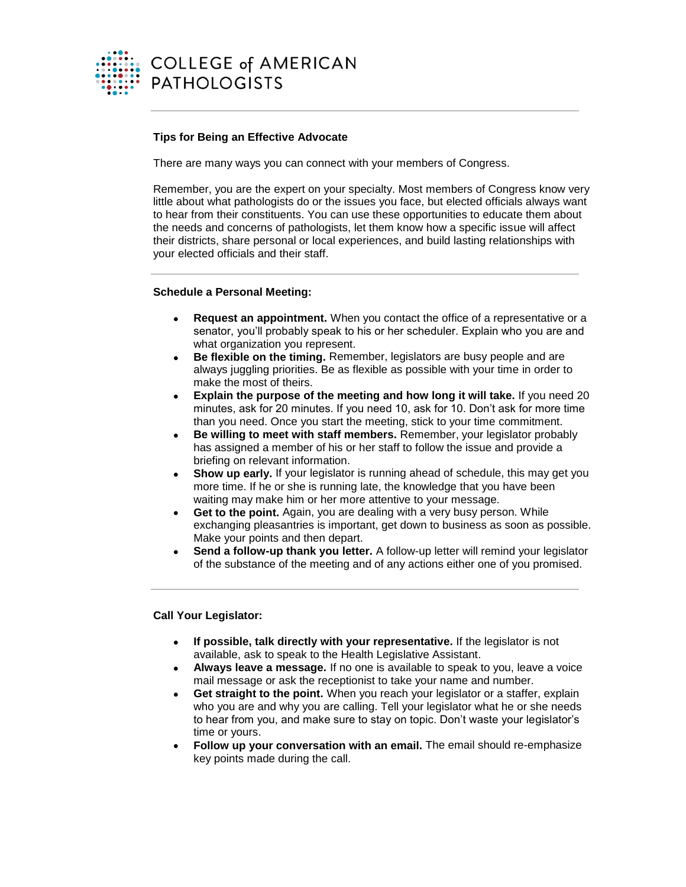

## **Tips for Being an Effective Advocate**

There are many ways you can connect with your members of Congress.

Remember, you are the expert on your specialty. Most members of Congress know very little about what pathologists do or the issues you face, but elected officials always want to hear from their constituents. You can use these opportunities to educate them about the needs and concerns of pathologists, let them know how a specific issue will affect their districts, share personal or local experiences, and build lasting relationships with your elected officials and their staff.

#### **Schedule a Personal Meeting:**

- **Request an appointment.** When you contact the office of a representative or a senator, you'll probably speak to his or her scheduler. Explain who you are and what organization you represent.
- **Be flexible on the timing.** Remember, legislators are busy people and are always juggling priorities. Be as flexible as possible with your time in order to make the most of theirs.
- **Explain the purpose of the meeting and how long it will take.** If you need 20 minutes, ask for 20 minutes. If you need 10, ask for 10. Don't ask for more time than you need. Once you start the meeting, stick to your time commitment.
- **Be willing to meet with staff members.** Remember, your legislator probably has assigned a member of his or her staff to follow the issue and provide a briefing on relevant information.
- **Show up early.** If your legislator is running ahead of schedule, this may get you more time. If he or she is running late, the knowledge that you have been waiting may make him or her more attentive to your message.
- **Get to the point.** Again, you are dealing with a very busy person. While exchanging pleasantries is important, get down to business as soon as possible. Make your points and then depart.
- **Send a follow-up thank you letter.** A follow-up letter will remind your legislator of the substance of the meeting and of any actions either one of you promised.

# **Call Your Legislator:**

- **If possible, talk directly with your representative.** If the legislator is not available, ask to speak to the Health Legislative Assistant.
- **Always leave a message.** If no one is available to speak to you, leave a voice mail message or ask the receptionist to take your name and number.
- **Get straight to the point.** When you reach your legislator or a staffer, explain who you are and why you are calling. Tell your legislator what he or she needs to hear from you, and make sure to stay on topic. Don't waste your legislator's time or yours.
- **Follow up your conversation with an email.** The email should re-emphasize key points made during the call.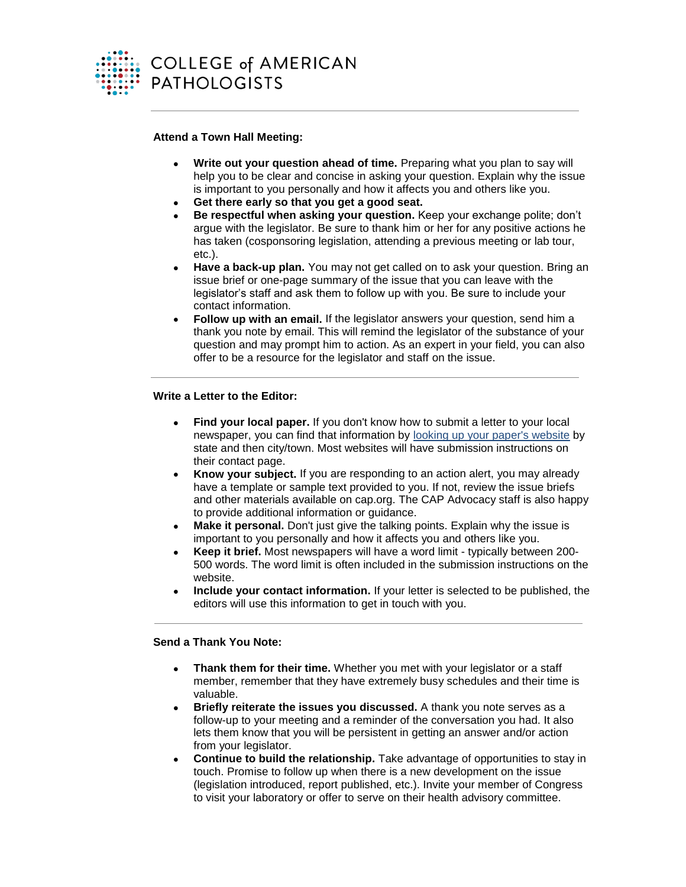

## **Attend a Town Hall Meeting:**

- **Write out your question ahead of time.** Preparing what you plan to say will help you to be clear and concise in asking your question. Explain why the issue is important to you personally and how it affects you and others like you.
- **Get there early so that you get a good seat.**
- **Be respectful when asking your question.** Keep your exchange polite; don't argue with the legislator. Be sure to thank him or her for any positive actions he has taken (cosponsoring legislation, attending a previous meeting or lab tour, etc.).
- **Have a back-up plan.** You may not get called on to ask your question. Bring an issue brief or one-page summary of the issue that you can leave with the legislator's staff and ask them to follow up with you. Be sure to include your contact information.
- **Follow up with an email.** If the legislator answers your question, send him a thank you note by email. This will remind the legislator of the substance of your question and may prompt him to action. As an expert in your field, you can also offer to be a resource for the legislator and staff on the issue.

# **Write a Letter to the Editor:**

- **Find your local paper.** If you don't know how to submit a letter to your local newspaper, you can find that information by [looking up your paper's website](http://www.usnpl.com/) by state and then city/town. Most websites will have submission instructions on their contact page.
- **Know your subject.** If you are responding to an action alert, you may already have a template or sample text provided to you. If not, review the issue briefs and other materials available on cap.org. The CAP Advocacy staff is also happy to provide additional information or guidance.
- **Make it personal.** Don't just give the talking points. Explain why the issue is important to you personally and how it affects you and others like you.
- **Keep it brief.** Most newspapers will have a word limit typically between 200- 500 words. The word limit is often included in the submission instructions on the website.
- **Include your contact information.** If your letter is selected to be published, the editors will use this information to get in touch with you.

## **Send a Thank You Note:**

- **Thank them for their time.** Whether you met with your legislator or a staff member, remember that they have extremely busy schedules and their time is valuable.
- **Briefly reiterate the issues you discussed.** A thank you note serves as a follow-up to your meeting and a reminder of the conversation you had. It also lets them know that you will be persistent in getting an answer and/or action from your legislator.
- **Continue to build the relationship.** Take advantage of opportunities to stay in touch. Promise to follow up when there is a new development on the issue (legislation introduced, report published, etc.). Invite your member of Congress to visit your laboratory or offer to serve on their health advisory committee.